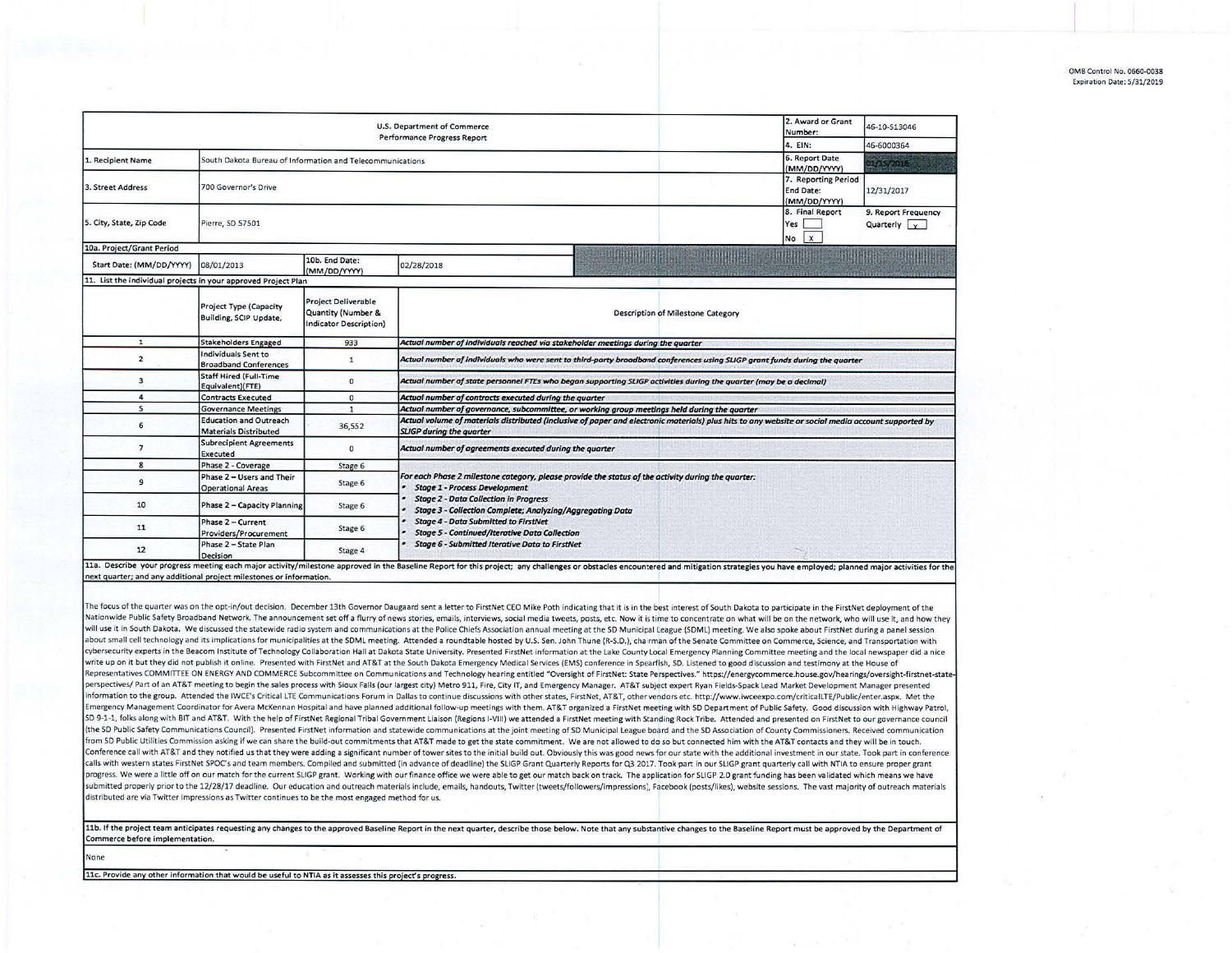|                           | 2. Award or Grant<br>Number:                                   | 46-10-S13046                                                                                 |                                                                                                                                                                                                                                                                |                                          |  |  |  |  |  |  |
|---------------------------|----------------------------------------------------------------|----------------------------------------------------------------------------------------------|----------------------------------------------------------------------------------------------------------------------------------------------------------------------------------------------------------------------------------------------------------------|------------------------------------------|--|--|--|--|--|--|
|                           | 4. EIN:                                                        | 46-6000364                                                                                   |                                                                                                                                                                                                                                                                |                                          |  |  |  |  |  |  |
| 1. Recipient Name         | 6. Report Date<br>(MM/DD/YYYY)                                 | 21/15/2018                                                                                   |                                                                                                                                                                                                                                                                |                                          |  |  |  |  |  |  |
| 3. Street Address         | 700 Governor's Drive                                           | 7. Reporting Period<br><b>End Date:</b><br>(MM/DD/YYYY)                                      | 12/31/2017                                                                                                                                                                                                                                                     |                                          |  |  |  |  |  |  |
| 5. City, State, Zip Code  | 8. Final Report<br>Yes<br>$\times$<br>No                       | 9. Report Frequency<br>Quarterly $\sqrt{y}$                                                  |                                                                                                                                                                                                                                                                |                                          |  |  |  |  |  |  |
| 10a. Project/Grant Period |                                                                |                                                                                              |                                                                                                                                                                                                                                                                |                                          |  |  |  |  |  |  |
| Start Date: (MM/DD/YYYY)  | 08/01/2013                                                     | 10b. End Date:<br>(MM/DD/YYYY)                                                               | 02/28/2018                                                                                                                                                                                                                                                     |                                          |  |  |  |  |  |  |
|                           | 11. List the individual projects in your approved Project Plan |                                                                                              |                                                                                                                                                                                                                                                                |                                          |  |  |  |  |  |  |
|                           | <b>Project Type (Capacity</b><br>Building, SCIP Update,        | <b>Project Deliverable</b><br><b>Quantity (Number &amp;</b><br><b>Indicator Description)</b> |                                                                                                                                                                                                                                                                | <b>Description of Milestone Category</b> |  |  |  |  |  |  |
| $\mathbf{1}$              | <b>Stakeholders Engaged</b>                                    | 933                                                                                          | Actual number of individuals reached via stakeholder meetings during the quarter                                                                                                                                                                               |                                          |  |  |  |  |  |  |
| $\overline{\mathbf{z}}$   | Individuals Sent to<br><b>Broadband Conferences</b>            | $\mathbf{1}$                                                                                 | Actual number of individuals who were sent to third-party broadband conferences using SLIGP grant funds during the quarter                                                                                                                                     |                                          |  |  |  |  |  |  |
| $\overline{\mathbf{3}}$   | <b>Staff Hired (Full-Time</b><br>Equivalent)(FTE)              | $\circ$                                                                                      | Actual number of state personnel FTEs who began supporting SLIGP activities during the quarter (may be a decimal)                                                                                                                                              |                                          |  |  |  |  |  |  |
| 4                         | <b>Contracts Executed</b>                                      | $\circ$                                                                                      | Actual number of contracts executed during the quarter                                                                                                                                                                                                         |                                          |  |  |  |  |  |  |
| 5                         | <b>Governance Meetings</b>                                     | $\mathbf{1}$                                                                                 | Actual number of governance, subcommittee, or working group meetings held during the quarter                                                                                                                                                                   |                                          |  |  |  |  |  |  |
| 6                         | <b>Education and Outreach</b><br><b>Materials Distributed</b>  | 36,552                                                                                       | Actual volume of materials distributed (inclusive of paper and electronic materials) plus hits to any website or social media account supported by<br><b>SLIGP during the quarter</b>                                                                          |                                          |  |  |  |  |  |  |
| $\overline{7}$            | <b>Subrecipient Agreements</b><br>Executed                     | $\Omega$                                                                                     | Actual number of agreements executed during the quarter                                                                                                                                                                                                        |                                          |  |  |  |  |  |  |
| 8                         | Phase 2 - Coverage                                             | Stage 6                                                                                      |                                                                                                                                                                                                                                                                |                                          |  |  |  |  |  |  |
| 9                         | Phase 2 - Users and Their<br><b>Operational Areas</b>          | Stage 6                                                                                      | For each Phase 2 milestone category, please provide the status of the activity during the quarter:<br><b>Stage 1 - Process Development</b><br><b>Stage 2 - Data Collection in Progress</b><br><b>Stage 3 - Collection Complete; Analyzing/Aggregating Data</b> |                                          |  |  |  |  |  |  |
| 10                        | Phase 2 - Capacity Planning                                    | Stage 6                                                                                      |                                                                                                                                                                                                                                                                |                                          |  |  |  |  |  |  |
|                           | Phase 2 - Current<br>Providers/Procurement                     | Stage 6                                                                                      | <b>Stage 4 - Data Submitted to FirstNet</b><br><b>Stage 5 - Continued/Iterative Data Collection</b>                                                                                                                                                            |                                          |  |  |  |  |  |  |
| 11                        |                                                                |                                                                                              |                                                                                                                                                                                                                                                                |                                          |  |  |  |  |  |  |

The focus of the quarter was on the opt-in/out decision. December 13th Governor Daugaard sent a letter to FirstNet CEO Mike Poth indicating that it is in the best interest of South Dakota to participate in the FirstNet dep Nationwide Public Safety Broadband Network. The announcement set off a flurry of news stories, emails, interviews, social media tweets, posts, etc. Now it is time to concentrate on what will be on the network, who will use will use it in South Dakota. We discussed the statewide radio system and communications at the Police Chiefs Association annual meeting at the SD Municipal League (SDML) meeting. We also spoke about FirstNet during a panel about small cell technology and its implications for municipalities at the SDML meeting. Attended a roundtable hosted by U.S. Sen. John Thune (R-S.D.), charman of the Senate Committee on Commerce, Science, and Transportati cybersecurity experts in the Beacom Institute of Technology Collaboration Hall at Dakota State University. Presented FirstNet information at the Lake County Local Emergency Planning Committee meeting and the local newspape write up on it but they did not publish it online. Presented with FirstNet and AT&T at the South Dakota Emergency Medical Services (EMS) conference in Spearfish, SD. Listened to good discussion and testimony at the House o Representatives COMMITTEE ON ENERGY AND COMMERCE Subcommittee on Communications and Technology hearing entitled "Oversight of FirstNet: State Perspectives." https://energycommerce.house.gov/hearings/oversight-firstnet-stat perspectives/ Part of an AT&T meeting to begin the sales process with Sioux Falls (our largest city) Metro 911, Fire, City IT, and Emergency Manager. AT&T subject expert Ryan Fields-Spack Lead Market Development Manager pr information to the group. Attended the IWCE's Critical LTE Communications Forum in Dallas to continue discussions with other states, FirstNet, AT&T, other vendors etc. http://www.iwceexpo.com/criticalLTE/Public/enter.aspx. Emergency Management Coordinator for Avera McKennan Hospital and have planned additional follow-up meetings with them. AT&T organized a FirstNet meeting with SD Department of Public Safety. Good discussion with Highway Pat SD 9-1-1, folks along with BIT and AT&T. With the help of FirstNet Regional Tribal Government Liaison (Regions I-VIII) we attended a FirstNet meeting with Standing Rock Tribe. Attended and presented on FirstNet to our gove (the SD Public Safety Communications Council). Presented FirstNet information and statewide communications at the joint meeting of SD Municipal League board and the SD Association of County Commissioners. Received communic from SD Public Utilities Commission asking if we can share the build-out commitments that AT&T made to get the state commitment. We are not allowed to do so but connected him with the AT&T contacts and they will be in touc Conference call with AT&T and they notified us that they were adding a significant number of tower sites to the initial build out. Obviously this was good news for our state with the additional investment in our state. Too calls with western states FirstNet SPOC's and team members. Compiled and submitted (in advance of deadline) the SLIGP Grant Quarterly Reports for Q3 2017. Took part in our SLIGP grant quarterly call with NTIA to ensure pro progress. We were a little off on our match for the current SLIGP grant. Working with our finance office we were able to get our match back on track. The application for SLIGP 2.0 grant funding has been validated which mea submitted properly prior to the 12/28/17 deadline. Our education and outreach materials include, emails, handouts, Twitter (tweets/followers/impressions), Facebook (posts/likes), website sessions. The vast majority of outr distributed are via Twitter impressions as Twitter continues to be the most engaged method for us.

11b. If the project team anticipates requesting any changes to the approved Baseline Report in the next quarter, describe those below. Note that any substantive changes to the Baseline Report must be approved by the Depart Commerce before implementation.

Vone

11c. Provide any other information that would be useful to NTIA as it assesses this project's progress.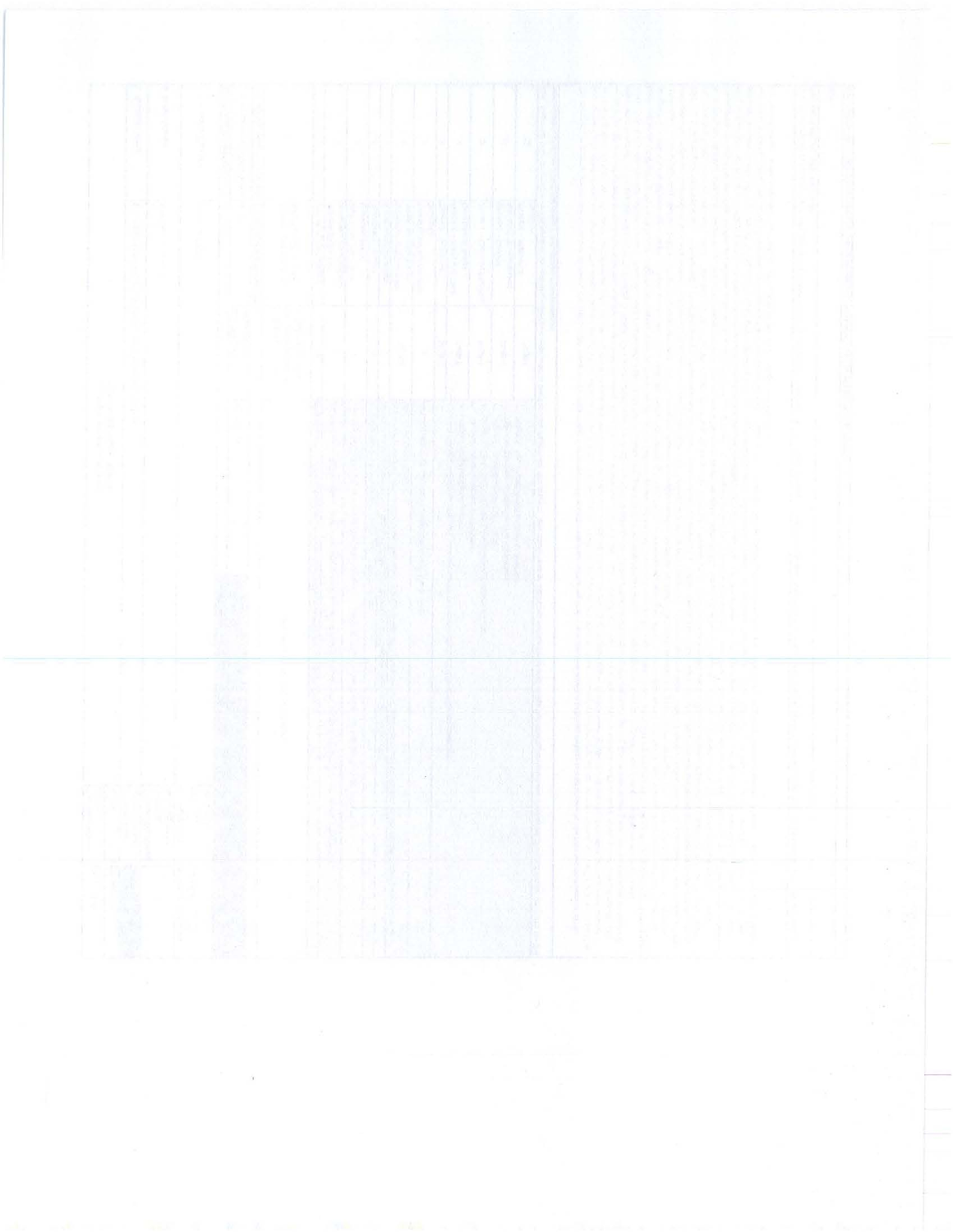| All Card<br><b>- 9.</b> |  | z.                                      | k<br>41                           |
|-------------------------|--|-----------------------------------------|-----------------------------------|
| <b>MA</b><br>÷.         |  | $\gamma_1=\gamma_1+\cdots+\gamma_{n-1}$ | $\mathcal{A}$<br>- 82<br>$\alpha$ |
|                         |  | H<br>t na                               | R)                                |

 $\mathbb{R}^n$  . In the set of  $\mathbb{R}^n$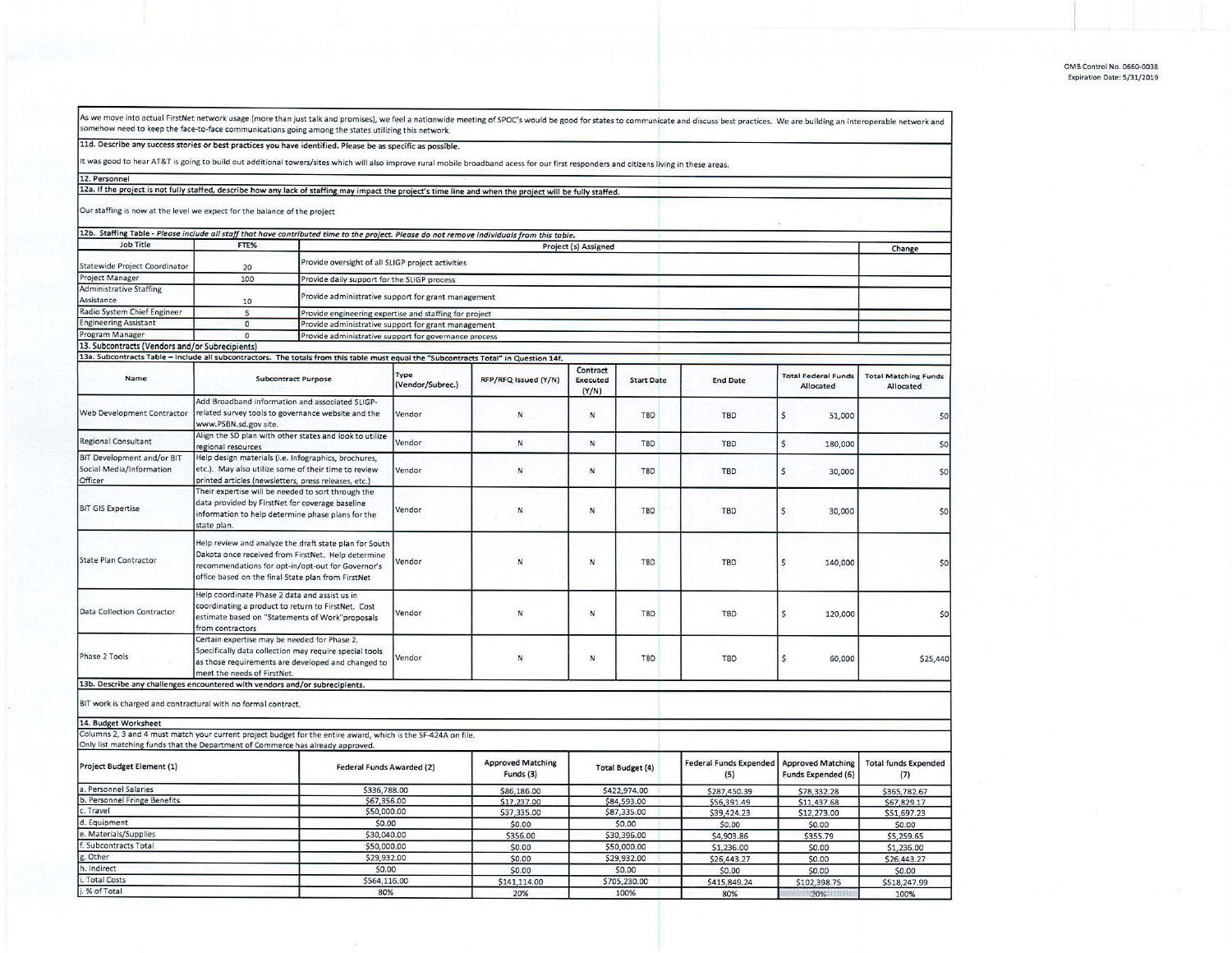| As we move into actual FirstNet network usage (more than just talk and promises), we feel a nationwide meeting of SPOC's would be good for states to communicate and discuss best practices. We are building an interoperable<br>somehow need to keep the face-to-face communications going among the states utilizing this network. |                                                                                                                                                                                             |                                                                                                              |                                                   |                      |                                      |                       |                                      |                                                |                                          |  |  |  |
|--------------------------------------------------------------------------------------------------------------------------------------------------------------------------------------------------------------------------------------------------------------------------------------------------------------------------------------|---------------------------------------------------------------------------------------------------------------------------------------------------------------------------------------------|--------------------------------------------------------------------------------------------------------------|---------------------------------------------------|----------------------|--------------------------------------|-----------------------|--------------------------------------|------------------------------------------------|------------------------------------------|--|--|--|
| 11d. Describe any success stories or best practices you have identified. Please be as specific as possible.                                                                                                                                                                                                                          |                                                                                                                                                                                             |                                                                                                              |                                                   |                      |                                      |                       |                                      |                                                |                                          |  |  |  |
| It was good to hear AT&T is going to build out additional towers/sites which will also improve rural mobile broadband acess for our first responders and citizens living in these areas.                                                                                                                                             |                                                                                                                                                                                             |                                                                                                              |                                                   |                      |                                      |                       |                                      |                                                |                                          |  |  |  |
|                                                                                                                                                                                                                                                                                                                                      |                                                                                                                                                                                             |                                                                                                              |                                                   |                      |                                      |                       |                                      |                                                |                                          |  |  |  |
| 12. Personnel                                                                                                                                                                                                                                                                                                                        |                                                                                                                                                                                             |                                                                                                              |                                                   |                      |                                      |                       |                                      |                                                |                                          |  |  |  |
| 12a. If the project is not fully staffed, describe how any lack of staffing may impact the project's time line and when the project will be fully staffed.                                                                                                                                                                           |                                                                                                                                                                                             |                                                                                                              |                                                   |                      |                                      |                       |                                      |                                                |                                          |  |  |  |
| Our staffing is now at the level we expect for the balance of the project                                                                                                                                                                                                                                                            |                                                                                                                                                                                             |                                                                                                              |                                                   |                      |                                      |                       |                                      |                                                |                                          |  |  |  |
| 12b. Staffing Table - Please include all staff that have contributed time to the project. Please do not remove individuals from this table.                                                                                                                                                                                          |                                                                                                                                                                                             |                                                                                                              |                                                   |                      |                                      |                       |                                      |                                                |                                          |  |  |  |
| Job Title                                                                                                                                                                                                                                                                                                                            | FTE%                                                                                                                                                                                        |                                                                                                              | Project (s) Assigned                              |                      |                                      |                       |                                      |                                                |                                          |  |  |  |
| Statewide Project Coordinator                                                                                                                                                                                                                                                                                                        | 20                                                                                                                                                                                          |                                                                                                              | Provide oversight of all SLIGP project activities |                      |                                      |                       |                                      |                                                |                                          |  |  |  |
| Project Manager                                                                                                                                                                                                                                                                                                                      | 100                                                                                                                                                                                         |                                                                                                              | Provide daily support for the SLIGP process       |                      |                                      |                       |                                      |                                                |                                          |  |  |  |
| Administrative Staffing                                                                                                                                                                                                                                                                                                              |                                                                                                                                                                                             | Provide administrative support for grant management                                                          |                                                   |                      |                                      |                       |                                      |                                                |                                          |  |  |  |
| Assistance                                                                                                                                                                                                                                                                                                                           | 10                                                                                                                                                                                          |                                                                                                              |                                                   |                      |                                      |                       |                                      |                                                |                                          |  |  |  |
| Radio System Chief Engineer<br><b>Engineering Assistant</b>                                                                                                                                                                                                                                                                          | 5<br>$\circ$                                                                                                                                                                                | Provide engineering expertise and staffing for project                                                       |                                                   |                      |                                      |                       |                                      |                                                |                                          |  |  |  |
| Program Manager                                                                                                                                                                                                                                                                                                                      | $\Omega$                                                                                                                                                                                    | Provide administrative support for grant management<br>Provide administrative support for governance process |                                                   |                      |                                      |                       |                                      |                                                |                                          |  |  |  |
| 13. Subcontracts (Vendors and/or Subrecipients)                                                                                                                                                                                                                                                                                      |                                                                                                                                                                                             |                                                                                                              |                                                   |                      |                                      |                       |                                      |                                                |                                          |  |  |  |
| 13a. Subcontracts Table - Include all subcontractors. The totals from this table must equal the "Subcontracts Total" in Question 14f.                                                                                                                                                                                                |                                                                                                                                                                                             |                                                                                                              |                                                   |                      |                                      |                       |                                      |                                                |                                          |  |  |  |
| Name                                                                                                                                                                                                                                                                                                                                 |                                                                                                                                                                                             | <b>Subcontract Purpose</b>                                                                                   | Type<br>(Vendor/Subrec.)                          | RFP/RFQ Issued (Y/N) | Contract<br><b>Executed</b><br>(Y/N) | <b>Start Date</b>     | <b>End Date</b>                      | <b>Total Federal Funds</b><br>Allocated        | <b>Total Matching Funds</b><br>Allocated |  |  |  |
| Web Development Contractor                                                                                                                                                                                                                                                                                                           | www.PSBN.sd.gov site.                                                                                                                                                                       | Add Broadband information and associated SLIGP-<br>related survey tools to governance website and the        |                                                   | N                    | $\mathsf N$                          | <b>TBD</b>            | <b>TBD</b>                           | \$<br>51,000                                   | \$0                                      |  |  |  |
| <b>Regional Consultant</b>                                                                                                                                                                                                                                                                                                           | regional resources                                                                                                                                                                          | Align the SD plan with other states and look to utilize                                                      | Vendor                                            | N                    | N                                    | <b>TBD</b>            | TBD                                  | \$<br>180,000                                  | \$0                                      |  |  |  |
| <b>BIT Development and/or BIT</b>                                                                                                                                                                                                                                                                                                    | Help design materials (i.e. Infographics, brochures,                                                                                                                                        |                                                                                                              |                                                   |                      |                                      |                       |                                      |                                                |                                          |  |  |  |
| Social Media/Information                                                                                                                                                                                                                                                                                                             | etc.). May also utilize some of their time to review                                                                                                                                        |                                                                                                              | Vendor                                            | N                    | N                                    | TBD                   | TBD                                  | $\mathsf{S}$<br>30,000                         | \$0                                      |  |  |  |
| Officer                                                                                                                                                                                                                                                                                                                              | printed articles (newsletters, press releases, etc.)                                                                                                                                        |                                                                                                              |                                                   |                      |                                      |                       |                                      |                                                |                                          |  |  |  |
| <b>BIT GIS Expertise</b>                                                                                                                                                                                                                                                                                                             | Their expertise will be needed to sort through the<br>data provided by FirstNet for coverage baseline<br>information to help determine phase plans for the<br>state plan.                   |                                                                                                              | Vendor                                            | N                    | N                                    | TBD                   | TBD                                  | \$<br>30,000                                   | \$0                                      |  |  |  |
| State Plan Contractor                                                                                                                                                                                                                                                                                                                | Dakota once received from FirstNet. Help determine<br>recommendations for opt-in/opt-out for Governor's<br>office based on the final State plan from FirstNet                               | Help review and analyze the draft state plan for South                                                       | Vendor                                            | N                    | N                                    | <b>TBD</b>            | TBD                                  | \$<br>140,000                                  | \$0                                      |  |  |  |
| <b>Data Collection Contractor</b>                                                                                                                                                                                                                                                                                                    | Help coordinate Phase 2 data and assist us in<br>coordinating a product to return to FirstNet. Cost<br>estimate based on "Statements of Work"proposals<br>from contractors                  |                                                                                                              | Vendor                                            | N                    | N                                    | TBD                   | TBD                                  | \$<br>120,000                                  | \$0                                      |  |  |  |
| Phase 2 Tools                                                                                                                                                                                                                                                                                                                        | Certain expertise may be needed for Phase 2.<br>Specifically data collection may require special tools<br>as those requirements are developed and changed to<br>meet the needs of FirstNet. |                                                                                                              | Vendor                                            | N                    | N                                    | <b>TBD</b>            | TBD                                  | $\mathsf{S}$<br>60,000                         | \$25,440                                 |  |  |  |
| 13b. Describe any challenges encountered with vendors and/or subrecipients.                                                                                                                                                                                                                                                          |                                                                                                                                                                                             |                                                                                                              |                                                   |                      |                                      |                       |                                      |                                                |                                          |  |  |  |
| BIT work is charged and contractural with no formal contract.                                                                                                                                                                                                                                                                        |                                                                                                                                                                                             |                                                                                                              |                                                   |                      |                                      |                       |                                      |                                                |                                          |  |  |  |
| 14. Budget Worksheet                                                                                                                                                                                                                                                                                                                 |                                                                                                                                                                                             |                                                                                                              |                                                   |                      |                                      |                       |                                      |                                                |                                          |  |  |  |
| Columns 2, 3 and 4 must match your current project budget for the entire award, which is the SF-424A on file.<br>Only list matching funds that the Department of Commerce has already approved.                                                                                                                                      |                                                                                                                                                                                             |                                                                                                              |                                                   |                      |                                      |                       |                                      |                                                |                                          |  |  |  |
| Project Budget Element (1)                                                                                                                                                                                                                                                                                                           |                                                                                                                                                                                             |                                                                                                              | Federal Funds Awarded (2)                         |                      | <b>Total Budget (4)</b>              |                       | <b>Federal Funds Expended</b><br>(5) | <b>Approved Matching</b><br>Funds Expended (6) | <b>Total funds Expended</b><br>(7)       |  |  |  |
| a. Personnel Salaries                                                                                                                                                                                                                                                                                                                |                                                                                                                                                                                             | \$336,788.00                                                                                                 |                                                   | \$86,186.00          | \$422,974.00                         |                       | \$287,450.39                         | \$78,332.28                                    | \$365,782.67                             |  |  |  |
| b. Personnel Fringe Benefits                                                                                                                                                                                                                                                                                                         |                                                                                                                                                                                             | \$67,356.00                                                                                                  |                                                   | \$17,237.00          | \$84,593.00                          |                       | \$56,391.49                          | \$11,437.68                                    | \$67,829.17                              |  |  |  |
| c. Travel                                                                                                                                                                                                                                                                                                                            |                                                                                                                                                                                             | \$50,000.00                                                                                                  |                                                   | \$37,335.00          |                                      | \$87,335.00           | \$39,424.23                          | \$12,273.00                                    | \$51,697.23                              |  |  |  |
| d. Equipment<br>e. Materials/Supplies                                                                                                                                                                                                                                                                                                |                                                                                                                                                                                             | \$0.00<br>\$30,040.00                                                                                        |                                                   | \$0.00<br>\$356.00   |                                      | \$0.00<br>\$30,396.00 | \$0.00                               | \$0.00                                         | \$0.00                                   |  |  |  |
| Subcontracts Total                                                                                                                                                                                                                                                                                                                   |                                                                                                                                                                                             | \$50,000.00                                                                                                  |                                                   | \$0.00               |                                      | \$50,000.00           | \$4,903.86<br>\$1,236.00             | \$355.79<br>\$0.00                             | \$5,259.65<br>\$1,236.00                 |  |  |  |
| Other                                                                                                                                                                                                                                                                                                                                |                                                                                                                                                                                             | \$29,932.00                                                                                                  |                                                   | \$0.00               |                                      | \$29,932.00           | \$26,443.27                          | \$0.00                                         | \$26,443.27                              |  |  |  |
| h. Indirect                                                                                                                                                                                                                                                                                                                          |                                                                                                                                                                                             | \$0.00                                                                                                       |                                                   | \$0.00               |                                      | \$0.00                | \$0.00                               | \$0.00                                         | \$0.00                                   |  |  |  |
| <b>Total Costs</b>                                                                                                                                                                                                                                                                                                                   |                                                                                                                                                                                             | \$564,116.00                                                                                                 |                                                   | \$141,114.00         |                                      | \$705,230.00          | \$415,849.24                         | \$102,398.75<br>20%                            | \$518,247.99                             |  |  |  |
| j. % of Total                                                                                                                                                                                                                                                                                                                        |                                                                                                                                                                                             | 80%                                                                                                          |                                                   | 20%                  |                                      | 100%                  | 80%                                  | 100%                                           |                                          |  |  |  |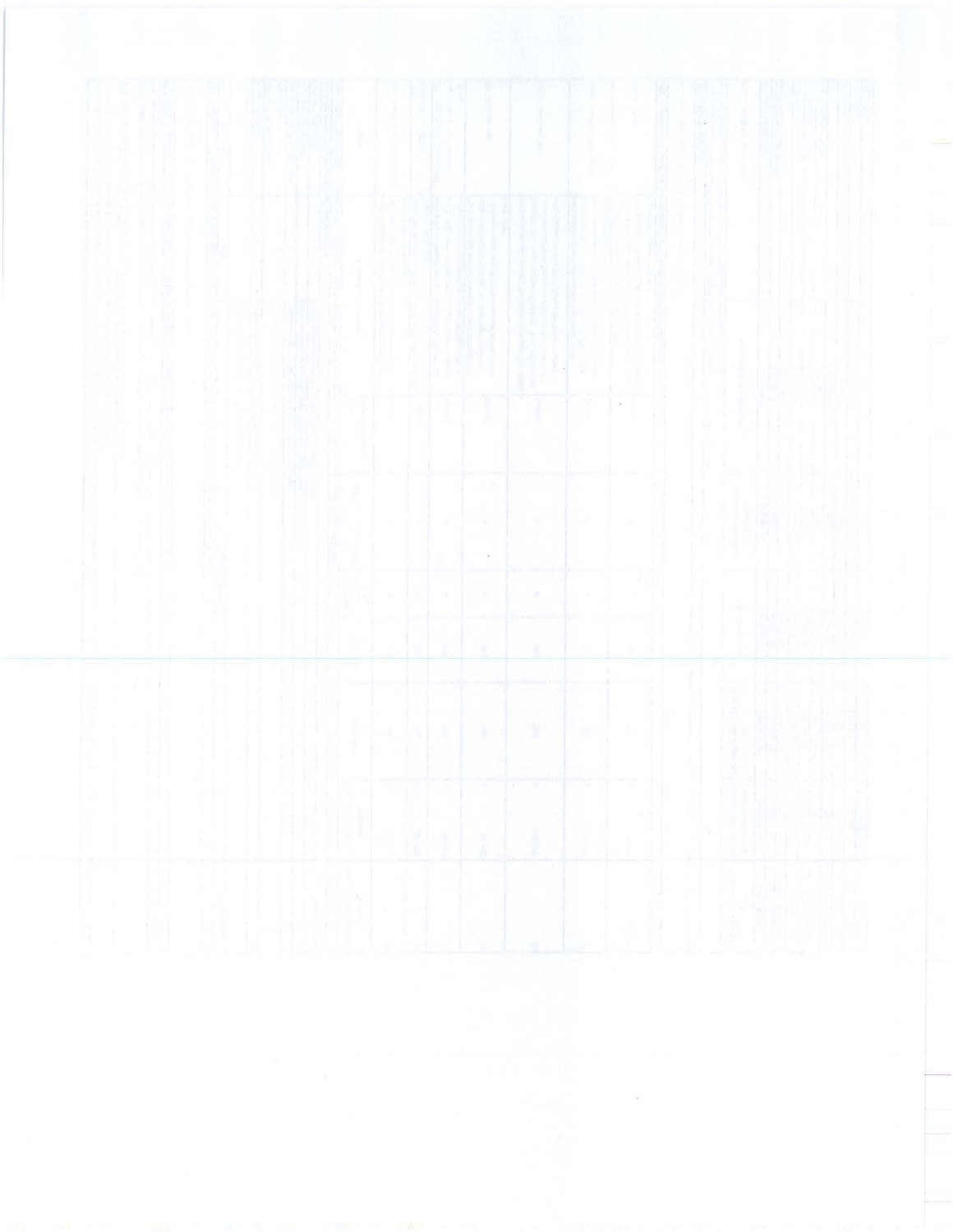|    | 5 titini      |                  |      |                                                |   |    |                            | ×<br>31 | ۱,                    |     |    |    | ĥ, |   |      |    |  |
|----|---------------|------------------|------|------------------------------------------------|---|----|----------------------------|---------|-----------------------|-----|----|----|----|---|------|----|--|
|    |               | ite) i<br>ωT.    |      |                                                |   |    |                            |         | W                     |     |    |    |    |   |      |    |  |
|    |               | w                |      |                                                |   |    |                            | ļ       |                       |     |    |    |    |   |      |    |  |
|    |               |                  |      |                                                |   |    |                            | $\sim$  | 8.                    |     |    |    |    |   |      |    |  |
|    |               |                  |      |                                                |   |    | $\mathcal{L}(\mathcal{C})$ | TP.     | UR.                   |     |    |    |    |   |      |    |  |
|    |               |                  |      |                                                |   |    |                            |         | 萈                     |     |    |    |    |   |      |    |  |
|    | $1 - 11$      |                  |      |                                                |   |    |                            | X       | W.                    | 70. |    |    |    |   |      |    |  |
|    | 租             | $\mathbb{R}^{n}$ | A.Y. | $\begin{bmatrix} 1 & 0 \\ 1 & 0 \end{bmatrix}$ | ł | k  |                            |         | C 76<br>$\mathcal{A}$ |     | t  |    |    |   | 19 X | p  |  |
|    | $\mathcal{P}$ |                  |      |                                                |   | A. | 1                          | ì       | š                     |     | T. |    |    |   | 贈增   | X. |  |
| ĝ. |               | 4 KG<br>×        |      |                                                |   |    |                            |         |                       |     |    | ţ. |    | H |      |    |  |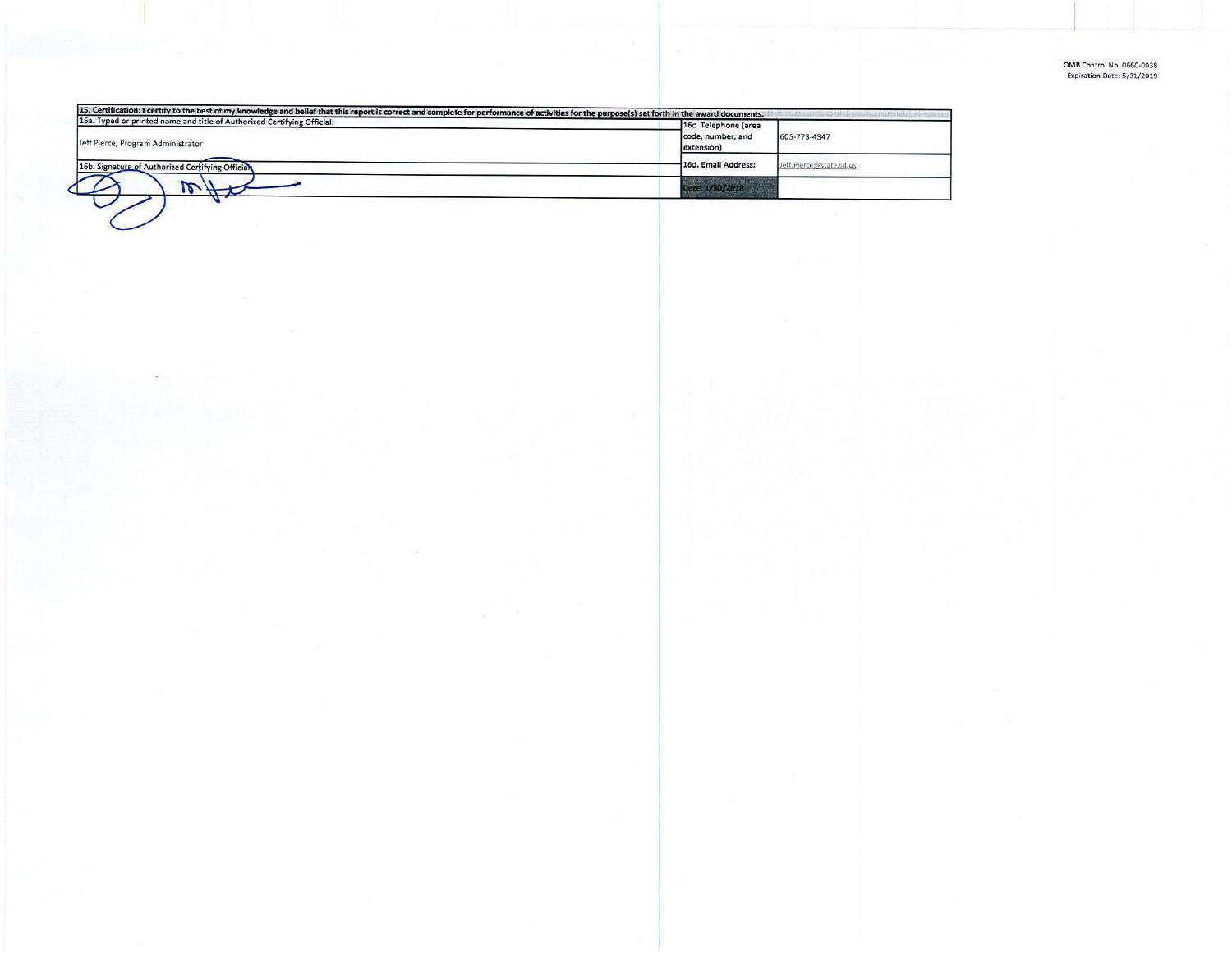## OMB Control No. 0660-0038 Expiration Date: 5/31/2019

| 16a. Typed or printed name and title of Authorized Certifying Official: | 16c. Telephone (area            |                         |  |  |
|-------------------------------------------------------------------------|---------------------------------|-------------------------|--|--|
| Jeff Pierce, Program Administrator                                      | code, number, and<br>extension) | 605-773-4347            |  |  |
| 16b. Signature of Authorized Certifying Official                        | 16d. Email Address:             | Jeff.Pierce@state.sd.us |  |  |
| $\boldsymbol{\pi}$                                                      | ate: 1/30/2018                  |                         |  |  |